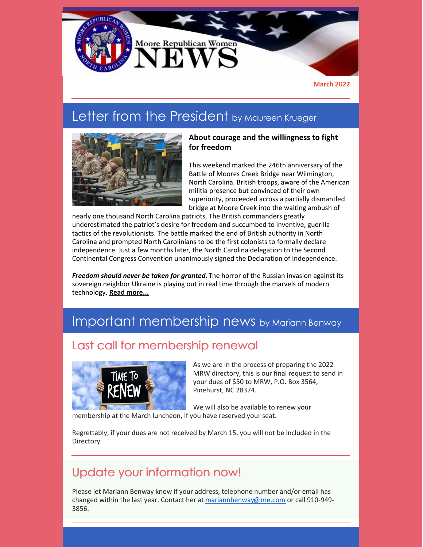

## Letter from the President by Maureen Krueger



#### **About courage and the willingness to fight for freedom**

This weekend marked the 246th anniversary of the Battle of Moores Creek Bridge near Wilmington, North Carolina. British troops, aware of the American militia presence but convinced of their own superiority, proceeded across a partially dismantled bridge at Moore Creek into the waiting ambush of

nearly one thousand North Carolina patriots. The British commanders greatly underestimated the patriot's desire for freedom and succumbed to inventive, guerilla tactics of the revolutionists. The battle marked the end of British authority in North Carolina and prompted North Carolinians to be the first colonists to formally declare independence. Just a few months later, the North Carolina delegation to the Second Continental Congress Convention unanimously signed the Declaration of Independence.

*Freedom should never be taken for granted.* The horror of the Russian invasion against its sovereign neighbor Ukraine is playing out in real time through the marvels of modern technology. **Read [more...](https://www.mrwnc.org/letter-from-the-president)**

## Important membership news by Mariann Benway

### Last call for membership renewal



As we are in the process of preparing the 2022 MRW directory, this is our final request to send in your dues of \$50 to MRW, P.O. Box 3564, Pinehurst, NC 28374.

We will also be available to renew your membership at the March luncheon, if you have reserved your seat.

Regrettably, if your dues are not received by March 15, you will not be included in the Directory.

### Update your information now!

Please let Mariann Benway know if your address, telephone number and/or email has changed within the last year. Contact her at [mariannbenway@me.com](mailto:mariannbenway@me.com) or call 910-949- 3856.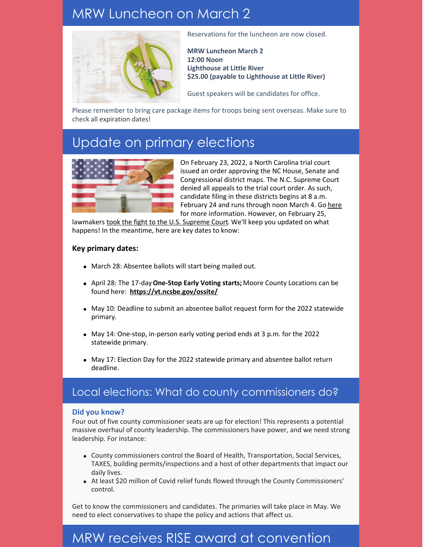## MRW Luncheon on March 2



Reservations for the luncheon are now closed.

**MRW Luncheon March 2 12:00 Noon Lighthouse at Little River \$25.00 (payable to Lighthouse at Little River)**

Guest speakers will be candidates for office.

Please remember to bring care package items for troops being sent overseas. Make sure to check all expiration dates!

## Update on primary elections



On February 23, 2022, a North Carolina trial court issued an order approving the NC House, Senate and Congressional district maps. The N.C. Supreme Court denied all appeals to the trial court order. As such, candidate filing in these districts begins at 8 a.m. February 24 and runs through noon March 4. Go [here](https://www.ncsbe.gov/results-data/voting-maps-redistricting#d) for more information. However, on February 25,

lawmakers took the fight to the U.S. [Supreme](https://www.carolinajournal.com/news-article/lawmakers-take-n-c-congressional-map-dispute-to-u-s-supreme-court/) Court. We'll keep you updated on what happens! In the meantime, here are key dates to know:

#### **Key primary dates:**

- March 28: Absentee ballots will start being mailed out.
- April 28: The 17-day**One-Stop Early Voting starts;** Moore County Locations can be found here: **<https://vt.ncsbe.gov/ossite/>**
- May 10: Deadline to submit an absentee ballot request form for the 2022 statewide primary.
- May 14: One-stop, in-person early voting period ends at 3 p.m. for the 2022 statewide primary.
- May 17: Election Day for the 2022 statewide primary and absentee ballot return deadline.

### Local elections: What do county commissioners do?

#### **Did you know?**

Four out of five county commissioner seats are up for election! This represents a potential massive overhaul of county leadership. The commissioners have power, and we need strong leadership. For instance:

- County commissioners control the Board of Health, Transportation, Social Services, TAXES, building permits/inspections and a host of other departments that impact our daily lives.
- At least \$20 million of Covid relief funds flowed through the County Commissioners' control.

Get to know the commissioners and candidates. The primaries will take place in May. We need to elect conservatives to shape the policy and actions that affect us.

## MRW receives RISE award at convention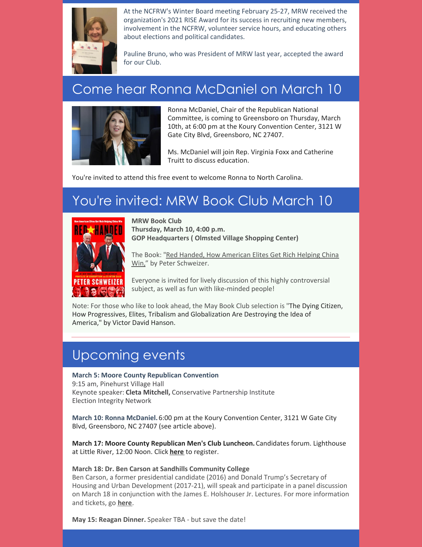

At the NCFRW's Winter Board meeting February 25-27, MRW received the organization's 2021 RISE Award for its success in recruiting new members, involvement in the NCFRW, volunteer service hours, and educating others about elections and political candidates.

Pauline Bruno, who was President of MRW last year, accepted the award for our Club.

## Come hear Ronna McDaniel on March 10



Ronna McDaniel, Chair of the Republican National Committee, is coming to Greensboro on Thursday, March 10th, at 6:00 pm at the Koury Convention Center, 3121 W Gate City Blvd, Greensboro, NC 27407.

Ms. McDaniel will join Rep. Virginia Foxx and Catherine Truitt to discuss education.

You're invited to attend this free event to welcome Ronna to North Carolina.

# You're invited: MRW Book Club March 10



**MRW Book Club Thursday, March 10, 4:00 p.m. GOP Headquarters ( Olmsted Village Shopping Center)**

The Book: "Red Handed, How American Elites Get Rich Helping China Win," by Peter [Schweizer.](https://www.amazon.com/Red-Handed-American-Elites-Helping-China-ebook/dp/B0995XDZX3/ref=sr_1_1?crid=22VE57XU33UIE&keywords=red-handed+peter+schweizer&qid=1643213685&sprefix=red-han%2Caps%2C201&sr=8-1)

Everyone is invited for lively discussion of this highly controversial subject, as well as fun with like-minded people!

Note: For those who like to look ahead, the May Book Club selection is "The Dying Citizen, How Progressives, Elites, Tribalism and Globalization Are Destroying the Idea of America," by Victor David Hanson.

## Upcoming events

#### **March 5: Moore County Republican Convention**

9:15 am, Pinehurst Village Hall Keynote speaker: **Cleta Mitchell,** Conservative Partnership Institute Election Integrity Network

**March 10: Ronna McDaniel.** 6:00 pm at the Koury Convention Center, 3121 W Gate City Blvd, Greensboro, NC 27407 (see article above).

**March 17: Moore County Republican Men's Club Luncheon.** Candidates forum. Lighthouse at Little River, 12:00 Noon. Click **[here](https://docs.google.com/forms/d/e/1FAIpQLSd50Ah2x7n03FyscfkSTACYCeVJWcJeWm7c8oWMLJX0luHzDg/viewform)** to register.

#### **March 18: Dr. Ben Carson at Sandhills Community College**

Ben Carson, a former presidential candidate (2016) and Donald Trump's Secretary of Housing and Urban Development (2017-21), will speak and participate in a panel discussion on March 18 in conjunction with the James E. Holshouser Jr. Lectures. For more information and tickets, go **[here](https://www.jehlectures.com/coming-soon-03)**.

**May 15: Reagan Dinner.** Speaker TBA - but save the date!